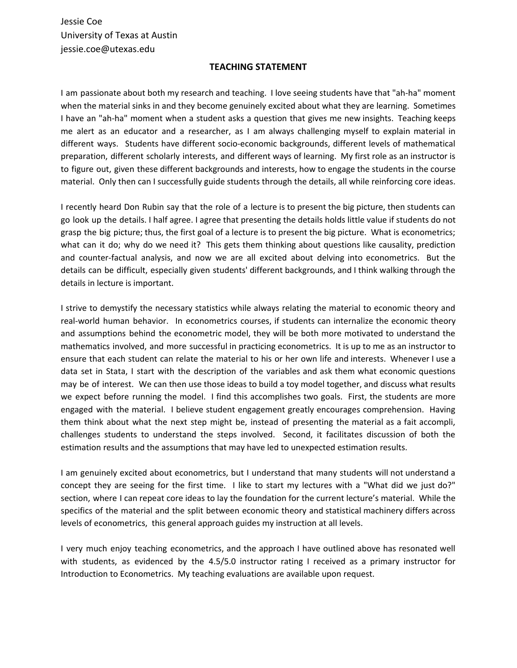Jessie Coe University of Texas at Austin jessie.coe@utexas.edu

## **TEACHING STATEMENT**

I am passionate about both my research and teaching. I love seeing students have that "ah-ha" moment when the material sinks in and they become genuinely excited about what they are learning. Sometimes I have an "ah-ha" moment when a student asks a question that gives me new insights. Teaching keeps me alert as an educator and a researcher, as I am always challenging myself to explain material in different ways. Students have different socio-economic backgrounds, different levels of mathematical preparation, different scholarly interests, and different ways of learning. My first role as an instructor is to figure out, given these different backgrounds and interests, how to engage the students in the course material. Only then can I successfully guide students through the details, all while reinforcing core ideas.

I recently heard Don Rubin say that the role of a lecture is to present the big picture, then students can go look up the details. I half agree. I agree that presenting the details holds little value if students do not grasp the big picture; thus, the first goal of a lecture is to present the big picture. What is econometrics; what can it do; why do we need it? This gets them thinking about questions like causality, prediction and counter-factual analysis, and now we are all excited about delving into econometrics. But the details can be difficult, especially given students' different backgrounds, and I think walking through the details in lecture is important.

I strive to demystify the necessary statistics while always relating the material to economic theory and real-world human behavior. In econometrics courses, if students can internalize the economic theory and assumptions behind the econometric model, they will be both more motivated to understand the mathematics involved, and more successful in practicing econometrics. It is up to me as an instructor to ensure that each student can relate the material to his or her own life and interests. Whenever I use a data set in Stata, I start with the description of the variables and ask them what economic questions may be of interest. We can then use those ideas to build a toy model together, and discuss what results we expect before running the model. I find this accomplishes two goals. First, the students are more engaged with the material. I believe student engagement greatly encourages comprehension. Having them think about what the next step might be, instead of presenting the material as a fait accompli, challenges students to understand the steps involved. Second, it facilitates discussion of both the estimation results and the assumptions that may have led to unexpected estimation results.

I am genuinely excited about econometrics, but I understand that many students will not understand a concept they are seeing for the first time. I like to start my lectures with a "What did we just do?" section, where I can repeat core ideas to lay the foundation for the current lecture's material. While the specifics of the material and the split between economic theory and statistical machinery differs across levels of econometrics, this general approach guides my instruction at all levels.

I very much enjoy teaching econometrics, and the approach I have outlined above has resonated well with students, as evidenced by the 4.5/5.0 instructor rating I received as a primary instructor for Introduction to Econometrics. My teaching evaluations are available upon request.